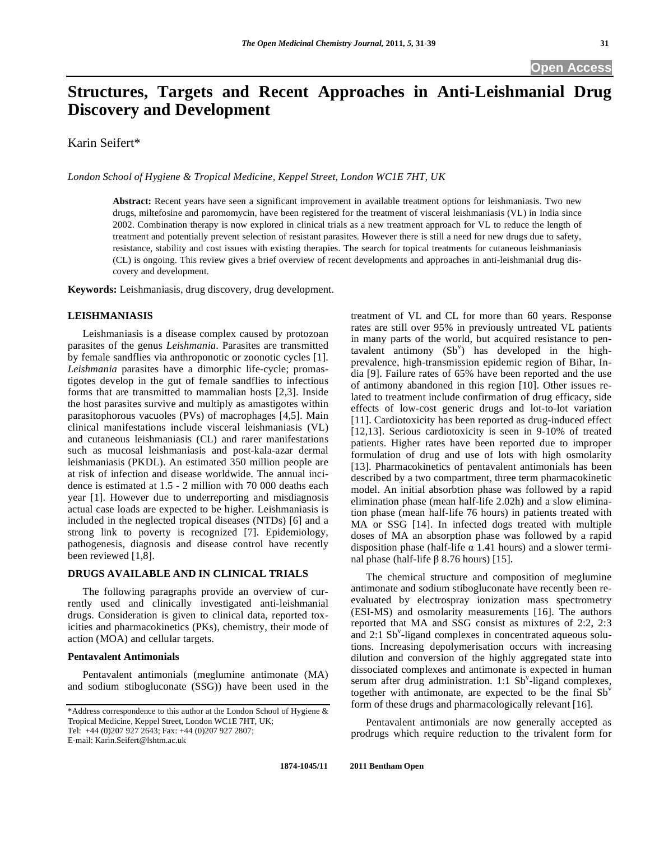# **Structures, Targets and Recent Approaches in Anti-Leishmanial Drug Discovery and Development**

Karin Seifert\*

*London School of Hygiene & Tropical Medicine, Keppel Street, London WC1E 7HT, UK* 

**Abstract:** Recent years have seen a significant improvement in available treatment options for leishmaniasis. Two new drugs, miltefosine and paromomycin, have been registered for the treatment of visceral leishmaniasis (VL) in India since 2002. Combination therapy is now explored in clinical trials as a new treatment approach for VL to reduce the length of treatment and potentially prevent selection of resistant parasites. However there is still a need for new drugs due to safety, resistance, stability and cost issues with existing therapies. The search for topical treatments for cutaneous leishmaniasis (CL) is ongoing. This review gives a brief overview of recent developments and approaches in anti-leishmanial drug discovery and development.

**Keywords:** Leishmaniasis, drug discovery, drug development.

## **LEISHMANIASIS**

 Leishmaniasis is a disease complex caused by protozoan parasites of the genus *Leishmania*. Parasites are transmitted by female sandflies via anthroponotic or zoonotic cycles [1]. *Leishmania* parasites have a dimorphic life-cycle; promastigotes develop in the gut of female sandflies to infectious forms that are transmitted to mammalian hosts [2,3]. Inside the host parasites survive and multiply as amastigotes within parasitophorous vacuoles (PVs) of macrophages [4,5]. Main clinical manifestations include visceral leishmaniasis (VL) and cutaneous leishmaniasis (CL) and rarer manifestations such as mucosal leishmaniasis and post-kala-azar dermal leishmaniasis (PKDL). An estimated 350 million people are at risk of infection and disease worldwide. The annual incidence is estimated at 1.5 - 2 million with 70 000 deaths each year [1]. However due to underreporting and misdiagnosis actual case loads are expected to be higher. Leishmaniasis is included in the neglected tropical diseases (NTDs) [6] and a strong link to poverty is recognized [7]. Epidemiology, pathogenesis, diagnosis and disease control have recently been reviewed [1,8].

## **DRUGS AVAILABLE AND IN CLINICAL TRIALS**

 The following paragraphs provide an overview of currently used and clinically investigated anti-leishmanial drugs. Consideration is given to clinical data, reported toxicities and pharmacokinetics (PKs), chemistry, their mode of action (MOA) and cellular targets.

## **Pentavalent Antimonials**

 Pentavalent antimonials (meglumine antimonate (MA) and sodium stibogluconate (SSG)) have been used in the

E-mail: Karin.Seifert@lshtm.ac.uk

treatment of VL and CL for more than 60 years. Response rates are still over 95% in previously untreated VL patients in many parts of the world, but acquired resistance to pentavalent antimony  $(Sb^v)$  has developed in the highprevalence, high-transmission epidemic region of Bihar, India [9]. Failure rates of 65% have been reported and the use of antimony abandoned in this region [10]. Other issues related to treatment include confirmation of drug efficacy, side effects of low-cost generic drugs and lot-to-lot variation [11]. Cardiotoxicity has been reported as drug-induced effect [12,13]. Serious cardiotoxicity is seen in 9-10% of treated patients. Higher rates have been reported due to improper formulation of drug and use of lots with high osmolarity [13]. Pharmacokinetics of pentavalent antimonials has been described by a two compartment, three term pharmacokinetic model. An initial absorbtion phase was followed by a rapid elimination phase (mean half-life 2.02h) and a slow elimination phase (mean half-life 76 hours) in patients treated with MA or SSG [14]. In infected dogs treated with multiple doses of MA an absorption phase was followed by a rapid disposition phase (half-life  $\alpha$  1.41 hours) and a slower terminal phase (half-life  $\beta$  8.76 hours) [15].

 The chemical structure and composition of meglumine antimonate and sodium stibogluconate have recently been reevaluated by electrospray ionization mass spectrometry (ESI-MS) and osmolarity measurements [16]. The authors reported that MA and SSG consist as mixtures of 2:2, 2:3 and  $2:1$  Sb<sup>v</sup>-ligand complexes in concentrated aqueous solutions. Increasing depolymerisation occurs with increasing dilution and conversion of the highly aggregated state into dissociated complexes and antimonate is expected in human serum after drug administration.  $1:1$  Sb<sup>v</sup>-ligand complexes, together with antimonate, are expected to be the final  $Sb<sup>v</sup>$ form of these drugs and pharmacologically relevant [16].

 Pentavalent antimonials are now generally accepted as prodrugs which require reduction to the trivalent form for

<sup>\*</sup>Address correspondence to this author at the London School of Hygiene & Tropical Medicine, Keppel Street, London WC1E 7HT, UK; Tel: +44 (0)207 927 2643; Fax: +44 (0)207 927 2807;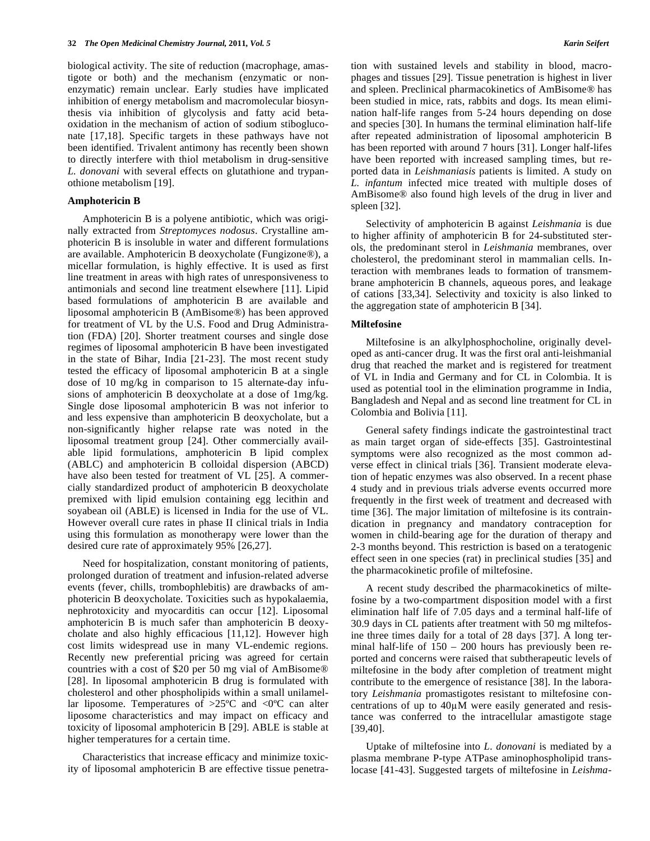biological activity. The site of reduction (macrophage, amastigote or both) and the mechanism (enzymatic or nonenzymatic) remain unclear. Early studies have implicated inhibition of energy metabolism and macromolecular biosynthesis via inhibition of glycolysis and fatty acid betaoxidation in the mechanism of action of sodium stibogluconate [17,18]. Specific targets in these pathways have not been identified. Trivalent antimony has recently been shown to directly interfere with thiol metabolism in drug-sensitive *L. donovani* with several effects on glutathione and trypanothione metabolism [19].

#### **Amphotericin B**

 Amphotericin B is a polyene antibiotic, which was originally extracted from *Streptomyces nodosus*. Crystalline amphotericin B is insoluble in water and different formulations are available. Amphotericin B deoxycholate (Fungizone®), a micellar formulation, is highly effective. It is used as first line treatment in areas with high rates of unresponsiveness to antimonials and second line treatment elsewhere [11]. Lipid based formulations of amphotericin B are available and liposomal amphotericin B (AmBisome®) has been approved for treatment of VL by the U.S. Food and Drug Administration (FDA) [20]. Shorter treatment courses and single dose regimes of liposomal amphotericin B have been investigated in the state of Bihar, India [21-23]. The most recent study tested the efficacy of liposomal amphotericin B at a single dose of 10 mg/kg in comparison to 15 alternate-day infusions of amphotericin B deoxycholate at a dose of 1mg/kg. Single dose liposomal amphotericin B was not inferior to and less expensive than amphotericin B deoxycholate, but a non-significantly higher relapse rate was noted in the liposomal treatment group [24]. Other commercially available lipid formulations, amphotericin B lipid complex (ABLC) and amphotericin B colloidal dispersion (ABCD) have also been tested for treatment of VL [25]. A commercially standardized product of amphotericin B deoxycholate premixed with lipid emulsion containing egg lecithin and soyabean oil (ABLE) is licensed in India for the use of VL. However overall cure rates in phase II clinical trials in India using this formulation as monotherapy were lower than the desired cure rate of approximately 95% [26,27].

 Need for hospitalization, constant monitoring of patients, prolonged duration of treatment and infusion-related adverse events (fever, chills, trombophlebitis) are drawbacks of amphotericin B deoxycholate. Toxicities such as hypokalaemia, nephrotoxicity and myocarditis can occur [12]. Liposomal amphotericin B is much safer than amphotericin B deoxycholate and also highly efficacious [11,12]. However high cost limits widespread use in many VL-endemic regions. Recently new preferential pricing was agreed for certain countries with a cost of \$20 per 50 mg vial of AmBisome® [28]. In liposomal amphotericin B drug is formulated with cholesterol and other phospholipids within a small unilamellar liposome. Temperatures of  $>25^{\circ}$ C and  $<0^{\circ}$ C can alter liposome characteristics and may impact on efficacy and toxicity of liposomal amphotericin B [29]. ABLE is stable at higher temperatures for a certain time.

 Characteristics that increase efficacy and minimize toxicity of liposomal amphotericin B are effective tissue penetration with sustained levels and stability in blood, macrophages and tissues [29]. Tissue penetration is highest in liver and spleen. Preclinical pharmacokinetics of AmBisome® has been studied in mice, rats, rabbits and dogs. Its mean elimination half-life ranges from 5-24 hours depending on dose and species [30]. In humans the terminal elimination half-life after repeated administration of liposomal amphotericin B has been reported with around 7 hours [31]. Longer half-lifes have been reported with increased sampling times, but reported data in *Leishmaniasis* patients is limited. A study on *L. infantum* infected mice treated with multiple doses of AmBisome® also found high levels of the drug in liver and spleen [32].

 Selectivity of amphotericin B against *Leishmania* is due to higher affinity of amphotericin B for 24-substituted sterols, the predominant sterol in *Leishmania* membranes, over cholesterol, the predominant sterol in mammalian cells. Interaction with membranes leads to formation of transmembrane amphotericin B channels, aqueous pores, and leakage of cations [33,34]. Selectivity and toxicity is also linked to the aggregation state of amphotericin B [34].

#### **Miltefosine**

 Miltefosine is an alkylphosphocholine, originally developed as anti-cancer drug. It was the first oral anti-leishmanial drug that reached the market and is registered for treatment of VL in India and Germany and for CL in Colombia. It is used as potential tool in the elimination programme in India, Bangladesh and Nepal and as second line treatment for CL in Colombia and Bolivia [11].

 General safety findings indicate the gastrointestinal tract as main target organ of side-effects [35]. Gastrointestinal symptoms were also recognized as the most common adverse effect in clinical trials [36]. Transient moderate elevation of hepatic enzymes was also observed. In a recent phase 4 study and in previous trials adverse events occurred more frequently in the first week of treatment and decreased with time [36]. The major limitation of miltefosine is its contraindication in pregnancy and mandatory contraception for women in child-bearing age for the duration of therapy and 2-3 months beyond. This restriction is based on a teratogenic effect seen in one species (rat) in preclinical studies [35] and the pharmacokinetic profile of miltefosine.

 A recent study described the pharmacokinetics of miltefosine by a two-compartment disposition model with a first elimination half life of 7.05 days and a terminal half-life of 30.9 days in CL patients after treatment with 50 mg miltefosine three times daily for a total of 28 days [37]. A long terminal half-life of 150 – 200 hours has previously been reported and concerns were raised that subtherapeutic levels of miltefosine in the body after completion of treatment might contribute to the emergence of resistance [38]. In the laboratory *Leishmania* promastigotes resistant to miltefosine concentrations of up to  $40\mu$ M were easily generated and resistance was conferred to the intracellular amastigote stage [39,40].

 Uptake of miltefosine into *L. donovani* is mediated by a plasma membrane P-type ATPase aminophospholipid translocase [41-43]. Suggested targets of miltefosine in *Leishma-*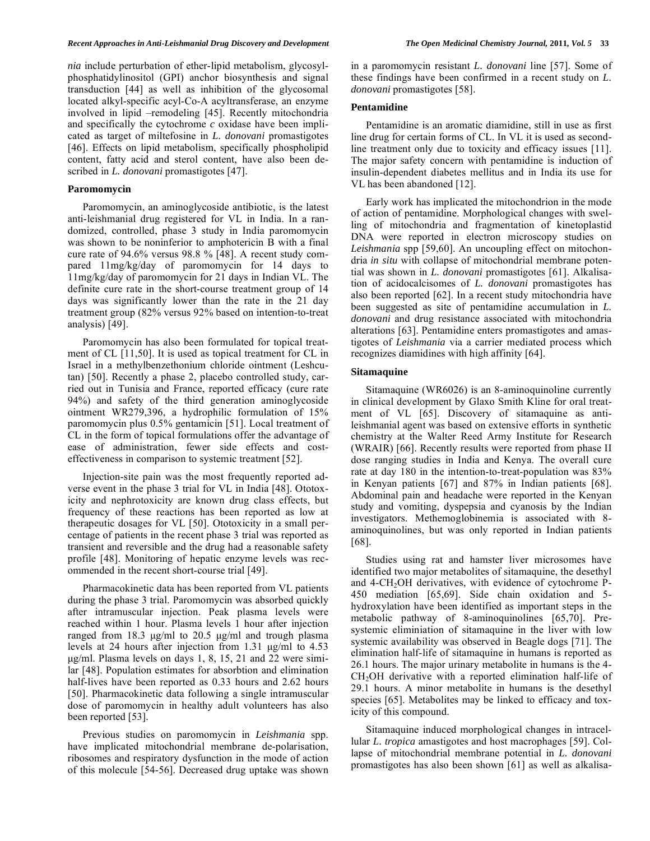*nia* include perturbation of ether-lipid metabolism, glycosylphosphatidylinositol (GPI) anchor biosynthesis and signal transduction [44] as well as inhibition of the glycosomal located alkyl-specific acyl-Co-A acyltransferase, an enzyme involved in lipid –remodeling [45]. Recently mitochondria and specifically the cytochrome *c* oxidase have been implicated as target of miltefosine in *L. donovani* promastigotes [46]. Effects on lipid metabolism, specifically phospholipid content, fatty acid and sterol content, have also been described in *L. donovani* promastigotes [47].

#### **Paromomycin**

 Paromomycin, an aminoglycoside antibiotic, is the latest anti-leishmanial drug registered for VL in India. In a randomized, controlled, phase 3 study in India paromomycin was shown to be noninferior to amphotericin B with a final cure rate of 94.6% versus 98.8 % [48]. A recent study compared 11mg/kg/day of paromomycin for 14 days to 11mg/kg/day of paromomycin for 21 days in Indian VL. The definite cure rate in the short-course treatment group of 14 days was significantly lower than the rate in the 21 day treatment group (82% versus 92% based on intention-to-treat analysis) [49].

 Paromomycin has also been formulated for topical treatment of CL [11,50]. It is used as topical treatment for CL in Israel in a methylbenzethonium chloride ointment (Leshcutan) [50]. Recently a phase 2, placebo controlled study, carried out in Tunisia and France, reported efficacy (cure rate 94%) and safety of the third generation aminoglycoside ointment WR279,396, a hydrophilic formulation of 15% paromomycin plus 0.5% gentamicin [51]. Local treatment of CL in the form of topical formulations offer the advantage of ease of administration, fewer side effects and costeffectiveness in comparison to systemic treatment [52].

 Injection-site pain was the most frequently reported adverse event in the phase 3 trial for VL in India [48]. Ototoxicity and nephrotoxicity are known drug class effects, but frequency of these reactions has been reported as low at therapeutic dosages for VL [50]. Ototoxicity in a small percentage of patients in the recent phase 3 trial was reported as transient and reversible and the drug had a reasonable safety profile [48]. Monitoring of hepatic enzyme levels was recommended in the recent short-course trial [49].

 Pharmacokinetic data has been reported from VL patients during the phase 3 trial. Paromomycin was absorbed quickly after intramuscular injection. Peak plasma levels were reached within 1 hour. Plasma levels 1 hour after injection ranged from 18.3 μg/ml to 20.5 μg/ml and trough plasma levels at 24 hours after injection from 1.31 μg/ml to 4.53 μg/ml. Plasma levels on days 1, 8, 15, 21 and 22 were similar [48]. Population estimates for absorbtion and elimination half-lives have been reported as 0.33 hours and 2.62 hours [50]. Pharmacokinetic data following a single intramuscular dose of paromomycin in healthy adult volunteers has also been reported [53].

 Previous studies on paromomycin in *Leishmania* spp. have implicated mitochondrial membrane de-polarisation, ribosomes and respiratory dysfunction in the mode of action of this molecule [54-56]. Decreased drug uptake was shown in a paromomycin resistant *L. donovani* line [57]. Some of these findings have been confirmed in a recent study on *L. donovani* promastigotes [58].

## **Pentamidine**

 Pentamidine is an aromatic diamidine, still in use as first line drug for certain forms of CL. In VL it is used as secondline treatment only due to toxicity and efficacy issues [11]. The major safety concern with pentamidine is induction of insulin-dependent diabetes mellitus and in India its use for VL has been abandoned [12].

 Early work has implicated the mitochondrion in the mode of action of pentamidine. Morphological changes with swelling of mitochondria and fragmentation of kinetoplastid DNA were reported in electron microscopy studies on *Leishmania* spp [59,60]. An uncoupling effect on mitochondria *in situ* with collapse of mitochondrial membrane potential was shown in *L. donovani* promastigotes [61]. Alkalisation of acidocalcisomes of *L. donovani* promastigotes has also been reported [62]. In a recent study mitochondria have been suggested as site of pentamidine accumulation in *L. donovani* and drug resistance associated with mitochondria alterations [63]. Pentamidine enters promastigotes and amastigotes of *Leishmania* via a carrier mediated process which recognizes diamidines with high affinity [64].

# **Sitamaquine**

 Sitamaquine (WR6026) is an 8-aminoquinoline currently in clinical development by Glaxo Smith Kline for oral treatment of VL [65]. Discovery of sitamaquine as antileishmanial agent was based on extensive efforts in synthetic chemistry at the Walter Reed Army Institute for Research (WRAIR) [66]. Recently results were reported from phase II dose ranging studies in India and Kenya. The overall cure rate at day 180 in the intention-to-treat-population was 83% in Kenyan patients [67] and 87% in Indian patients [68]. Abdominal pain and headache were reported in the Kenyan study and vomiting, dyspepsia and cyanosis by the Indian investigators. Methemoglobinemia is associated with 8 aminoquinolines, but was only reported in Indian patients [68].

 Studies using rat and hamster liver microsomes have identified two major metabolites of sitamaquine, the desethyl and 4-CH<sub>2</sub>OH derivatives, with evidence of cytochrome P-450 mediation [65,69]. Side chain oxidation and 5 hydroxylation have been identified as important steps in the metabolic pathway of 8-aminoquinolines [65,70]. Presystemic eliminiation of sitamaquine in the liver with low systemic availability was observed in Beagle dogs [71]. The elimination half-life of sitamaquine in humans is reported as 26.1 hours. The major urinary metabolite in humans is the 4- CH2OH derivative with a reported elimination half-life of 29.1 hours. A minor metabolite in humans is the desethyl species [65]. Metabolites may be linked to efficacy and toxicity of this compound.

 Sitamaquine induced morphological changes in intracellular *L. tropica* amastigotes and host macrophages [59]. Collapse of mitochondrial membrane potential in *L. donovani* promastigotes has also been shown [61] as well as alkalisa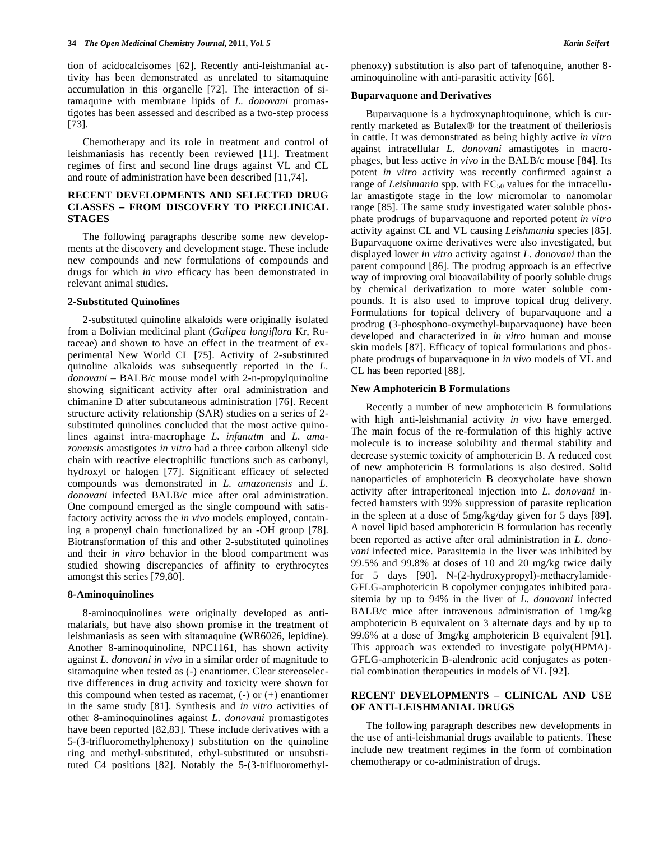tion of acidocalcisomes [62]. Recently anti-leishmanial activity has been demonstrated as unrelated to sitamaquine accumulation in this organelle [72]. The interaction of sitamaquine with membrane lipids of *L. donovani* promastigotes has been assessed and described as a two-step process [73].

 Chemotherapy and its role in treatment and control of leishmaniasis has recently been reviewed [11]. Treatment regimes of first and second line drugs against VL and CL and route of administration have been described [11,74].

# **RECENT DEVELOPMENTS AND SELECTED DRUG CLASSES – FROM DISCOVERY TO PRECLINICAL STAGES**

 The following paragraphs describe some new developments at the discovery and development stage. These include new compounds and new formulations of compounds and drugs for which *in vivo* efficacy has been demonstrated in relevant animal studies.

#### **2-Substituted Quinolines**

 2-substituted quinoline alkaloids were originally isolated from a Bolivian medicinal plant (*Galipea longiflora* Kr, Rutaceae) and shown to have an effect in the treatment of experimental New World CL [75]. Activity of 2-substituted quinoline alkaloids was subsequently reported in the *L. donovani* – BALB/c mouse model with 2-n-propylquinoline showing significant activity after oral administration and chimanine D after subcutaneous administration [76]. Recent structure activity relationship (SAR) studies on a series of 2 substituted quinolines concluded that the most active quinolines against intra-macrophage *L. infanutm* and *L. amazonensis* amastigotes *in vitro* had a three carbon alkenyl side chain with reactive electrophilic functions such as carbonyl, hydroxyl or halogen [77]. Significant efficacy of selected compounds was demonstrated in *L. amazonensis* and *L. donovani* infected BALB/c mice after oral administration. One compound emerged as the single compound with satisfactory activity across the *in vivo* models employed, containing a propenyl chain functionalized by an -OH group [78]. Biotransformation of this and other 2-substituted quinolines and their *in vitro* behavior in the blood compartment was studied showing discrepancies of affinity to erythrocytes amongst this series [79,80].

## **8-Aminoquinolines**

 8-aminoquinolines were originally developed as antimalarials, but have also shown promise in the treatment of leishmaniasis as seen with sitamaquine (WR6026, lepidine). Another 8-aminoquinoline, NPC1161, has shown activity against *L. donovani in vivo* in a similar order of magnitude to sitamaquine when tested as (-) enantiomer. Clear stereoselective differences in drug activity and toxicity were shown for this compound when tested as racemat, (-) or (+) enantiomer in the same study [81]. Synthesis and *in vitro* activities of other 8-aminoquinolines against *L. donovani* promastigotes have been reported [82,83]. These include derivatives with a 5-(3-trifluoromethylphenoxy) substitution on the quinoline ring and methyl-substituted, ethyl-substituted or unsubstituted C4 positions [82]. Notably the 5-(3-trifluoromethylphenoxy) substitution is also part of tafenoquine, another 8 aminoquinoline with anti-parasitic activity [66].

#### **Buparvaquone and Derivatives**

 Buparvaquone is a hydroxynaphtoquinone, which is currently marketed as Butalex® for the treatment of theileriosis in cattle. It was demonstrated as being highly active *in vitro* against intracellular *L. donovani* amastigotes in macrophages, but less active *in vivo* in the BALB/c mouse [84]. Its potent *in vitro* activity was recently confirmed against a range of *Leishmania* spp. with EC<sub>50</sub> values for the intracellular amastigote stage in the low micromolar to nanomolar range [85]. The same study investigated water soluble phosphate prodrugs of buparvaquone and reported potent *in vitro* activity against CL and VL causing *Leishmania* species [85]. Buparvaquone oxime derivatives were also investigated, but displayed lower *in vitro* activity against *L. donovani* than the parent compound [86]. The prodrug approach is an effective way of improving oral bioavailability of poorly soluble drugs by chemical derivatization to more water soluble compounds. It is also used to improve topical drug delivery. Formulations for topical delivery of buparvaquone and a prodrug (3-phosphono-oxymethyl-buparvaquone) have been developed and characterized in *in vitro* human and mouse skin models [87]. Efficacy of topical formulations and phosphate prodrugs of buparvaquone in *in vivo* models of VL and CL has been reported [88].

#### **New Amphotericin B Formulations**

 Recently a number of new amphotericin B formulations with high anti-leishmanial activity *in vivo* have emerged. The main focus of the re-formulation of this highly active molecule is to increase solubility and thermal stability and decrease systemic toxicity of amphotericin B. A reduced cost of new amphotericin B formulations is also desired. Solid nanoparticles of amphotericin B deoxycholate have shown activity after intraperitoneal injection into *L. donovani* infected hamsters with 99% suppression of parasite replication in the spleen at a dose of 5mg/kg/day given for 5 days [89]. A novel lipid based amphotericin B formulation has recently been reported as active after oral administration in *L. donovani* infected mice. Parasitemia in the liver was inhibited by 99.5% and 99.8% at doses of 10 and 20 mg/kg twice daily for 5 days [90]. N-(2-hydroxypropyl)-methacrylamide-GFLG-amphotericin B copolymer conjugates inhibited parasitemia by up to 94% in the liver of *L. donovani* infected BALB/c mice after intravenous administration of 1mg/kg amphotericin B equivalent on 3 alternate days and by up to 99.6% at a dose of 3mg/kg amphotericin B equivalent [91]. This approach was extended to investigate poly(HPMA)- GFLG-amphotericin B-alendronic acid conjugates as potential combination therapeutics in models of VL [92].

# **RECENT DEVELOPMENTS – CLINICAL AND USE OF ANTI-LEISHMANIAL DRUGS**

 The following paragraph describes new developments in the use of anti-leishmanial drugs available to patients. These include new treatment regimes in the form of combination chemotherapy or co-administration of drugs.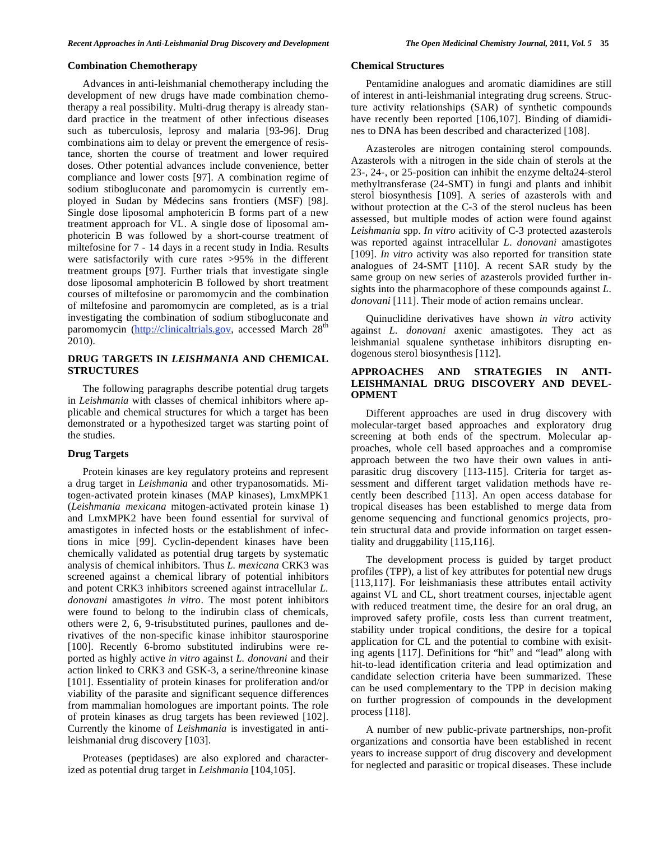## **Combination Chemotherapy**

 Advances in anti-leishmanial chemotherapy including the development of new drugs have made combination chemotherapy a real possibility. Multi-drug therapy is already standard practice in the treatment of other infectious diseases such as tuberculosis, leprosy and malaria [93-96]. Drug combinations aim to delay or prevent the emergence of resistance, shorten the course of treatment and lower required doses. Other potential advances include convenience, better compliance and lower costs [97]. A combination regime of sodium stibogluconate and paromomycin is currently employed in Sudan by Médecins sans frontiers (MSF) [98]. Single dose liposomal amphotericin B forms part of a new treatment approach for VL. A single dose of liposomal amphotericin B was followed by a short-course treatment of miltefosine for 7 - 14 days in a recent study in India. Results were satisfactorily with cure rates >95% in the different treatment groups [97]. Further trials that investigate single dose liposomal amphotericin B followed by short treatment courses of miltefosine or paromomycin and the combination of miltefosine and paromomycin are completed, as is a trial investigating the combination of sodium stibogluconate and paromomycin (http://clinicaltrials.gov, accessed March 28<sup>th</sup> 2010).

# **DRUG TARGETS IN** *LEISHMANIA* **AND CHEMICAL STRUCTURES**

 The following paragraphs describe potential drug targets in *Leishmania* with classes of chemical inhibitors where applicable and chemical structures for which a target has been demonstrated or a hypothesized target was starting point of the studies.

# **Drug Targets**

 Protein kinases are key regulatory proteins and represent a drug target in *Leishmania* and other trypanosomatids. Mitogen-activated protein kinases (MAP kinases), LmxMPK1 (*Leishmania mexicana* mitogen-activated protein kinase 1) and LmxMPK2 have been found essential for survival of amastigotes in infected hosts or the establishment of infections in mice [99]. Cyclin-dependent kinases have been chemically validated as potential drug targets by systematic analysis of chemical inhibitors*.* Thus *L. mexicana* CRK3 was screened against a chemical library of potential inhibitors and potent CRK3 inhibitors screened against intracellular *L. donovani* amastigotes *in vitro*. The most potent inhibitors were found to belong to the indirubin class of chemicals, others were 2, 6, 9-trisubstituted purines, paullones and derivatives of the non-specific kinase inhibitor staurosporine [100]. Recently 6-bromo substituted indirubins were reported as highly active *in vitro* against *L. donovani* and their action linked to CRK3 and GSK-3, a serine/threonine kinase [101]. Essentiality of protein kinases for proliferation and/or viability of the parasite and significant sequence differences from mammalian homologues are important points. The role of protein kinases as drug targets has been reviewed [102]. Currently the kinome of *Leishmania* is investigated in antileishmanial drug discovery [103].

 Proteases (peptidases) are also explored and characterized as potential drug target in *Leishmania* [104,105].

# **Chemical Structures**

 Pentamidine analogues and aromatic diamidines are still of interest in anti-leishmanial integrating drug screens. Structure activity relationships (SAR) of synthetic compounds have recently been reported [106,107]. Binding of diamidines to DNA has been described and characterized [108].

 Azasteroles are nitrogen containing sterol compounds. Azasterols with a nitrogen in the side chain of sterols at the 23-, 24-, or 25-position can inhibit the enzyme delta24-sterol methyltransferase (24-SMT) in fungi and plants and inhibit sterol biosynthesis [109]. A series of azasterols with and without protection at the C-3 of the sterol nucleus has been assessed, but multiple modes of action were found against *Leishmania* spp. *In vitro* acitivity of C-3 protected azasterols was reported against intracellular *L. donovani* amastigotes [109]. *In vitro* activity was also reported for transition state analogues of 24-SMT [110]. A recent SAR study by the same group on new series of azasterols provided further insights into the pharmacophore of these compounds against *L. donovani* [111]. Their mode of action remains unclear.

 Quinuclidine derivatives have shown *in vitro* activity against *L. donovani* axenic amastigotes. They act as leishmanial squalene synthetase inhibitors disrupting endogenous sterol biosynthesis [112].

# **APPROACHES AND STRATEGIES IN ANTI-LEISHMANIAL DRUG DISCOVERY AND DEVEL-OPMENT**

 Different approaches are used in drug discovery with molecular-target based approaches and exploratory drug screening at both ends of the spectrum. Molecular approaches, whole cell based approaches and a compromise approach between the two have their own values in antiparasitic drug discovery [113-115]. Criteria for target assessment and different target validation methods have recently been described [113]. An open access database for tropical diseases has been established to merge data from genome sequencing and functional genomics projects, protein structural data and provide information on target essentiality and druggability [115,116].

 The development process is guided by target product profiles (TPP), a list of key attributes for potential new drugs [113,117]. For leishmaniasis these attributes entail activity against VL and CL, short treatment courses, injectable agent with reduced treatment time, the desire for an oral drug, an improved safety profile, costs less than current treatment, stability under tropical conditions, the desire for a topical application for CL and the potential to combine with exisiting agents [117]. Definitions for "hit" and "lead" along with hit-to-lead identification criteria and lead optimization and candidate selection criteria have been summarized. These can be used complementary to the TPP in decision making on further progression of compounds in the development process [118].

 A number of new public-private partnerships, non-profit organizations and consortia have been established in recent years to increase support of drug discovery and development for neglected and parasitic or tropical diseases. These include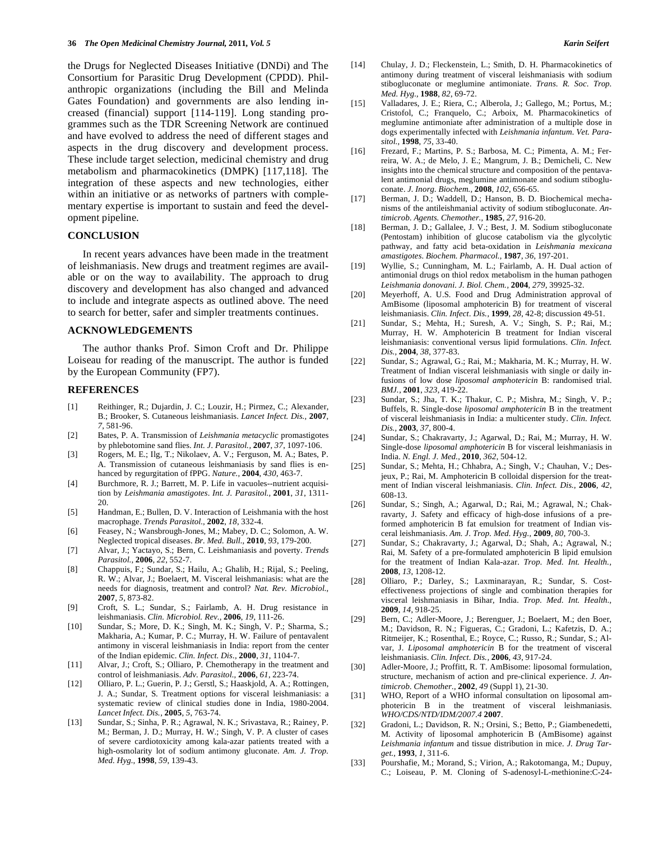the Drugs for Neglected Diseases Initiative (DNDi) and The Consortium for Parasitic Drug Development (CPDD). Philanthropic organizations (including the Bill and Melinda Gates Foundation) and governments are also lending increased (financial) support [114-119]. Long standing programmes such as the TDR Screening Network are continued and have evolved to address the need of different stages and aspects in the drug discovery and development process. These include target selection, medicinal chemistry and drug metabolism and pharmacokinetics (DMPK) [117,118]. The integration of these aspects and new technologies, either within an initiative or as networks of partners with complementary expertise is important to sustain and feed the development pipeline.

## **CONCLUSION**

 In recent years advances have been made in the treatment of leishmaniasis. New drugs and treatment regimes are available or on the way to availability. The approach to drug discovery and development has also changed and advanced to include and integrate aspects as outlined above. The need to search for better, safer and simpler treatments continues.

#### **ACKNOWLEDGEMENTS**

 The author thanks Prof. Simon Croft and Dr. Philippe Loiseau for reading of the manuscript. The author is funded by the European Community (FP7).

# **REFERENCES**

- [1] Reithinger, R.; Dujardin, J. C.; Louzir, H.; Pirmez, C.; Alexander, B.; Brooker, S. Cutaneous leishmaniasis. *Lancet Infect. Dis.,* **2007**, *7*, 581-96.
- [2] Bates, P. A. Transmission of *Leishmania metacyclic* promastigotes by phlebotomine sand flies. *Int. J. Parasitol.,* **2007**, *37*, 1097-106.
- [3] Rogers, M. E.; Ilg, T.; Nikolaev, A. V.; Ferguson, M. A.; Bates, P. A. Transmission of cutaneous leishmaniasis by sand flies is enhanced by regurgitation of fPPG. *Nature.,* **2004**, *430*, 463-7.
- [4] Burchmore, R. J.; Barrett, M. P. Life in vacuoles--nutrient acquisition by *Leishmania amastigotes*. *Int. J. Parasitol.,* **2001**, *31*, 1311- 20.
- [5] Handman, E.; Bullen, D. V. Interaction of Leishmania with the host macrophage. *Trends Parasitol.,* **2002**, *18*, 332-4.
- [6] Feasey, N.; Wansbrough-Jones, M.; Mabey, D. C.; Solomon, A. W. Neglected tropical diseases. *Br. Med. Bull.,* **2010**, *93*, 179-200.
- [7] Alvar, J.; Yactayo, S.; Bern, C. Leishmaniasis and poverty. *Trends Parasitol.,* **2006**, *22*, 552-7.
- [8] Chappuis, F.; Sundar, S.; Hailu, A.; Ghalib, H.; Rijal, S.; Peeling, R. W.; Alvar, J.; Boelaert, M. Visceral leishmaniasis: what are the needs for diagnosis, treatment and control? *Nat. Rev. Microbiol.,*  **2007**, *5*, 873-82.
- [9] Croft, S. L.; Sundar, S.; Fairlamb, A. H. Drug resistance in leishmaniasis. *Clin. Microbiol. Rev.,* **2006**, *19*, 111-26.
- [10] Sundar, S.; More, D. K.; Singh, M. K.; Singh, V. P.; Sharma, S.; Makharia, A.; Kumar, P. C.; Murray, H. W. Failure of pentavalent antimony in visceral leishmaniasis in India: report from the center of the Indian epidemic. *Clin. Infect. Dis.,* **2000**, *31*, 1104-7.
- [11] Alvar, J.; Croft, S.; Olliaro, P. Chemotherapy in the treatment and control of leishmaniasis. *Adv. Parasitol.,* **2006**, *61*, 223-74.
- [12] Olliaro, P. L.; Guerin, P. J.; Gerstl, S.; Haaskjold, A. A.; Rottingen, J. A.; Sundar, S. Treatment options for visceral leishmaniasis: a systematic review of clinical studies done in India, 1980-2004. *Lancet Infect. Dis.,* **2005**, *5*, 763-74.
- [13] Sundar, S.; Sinha, P. R.; Agrawal, N. K.; Srivastava, R.; Rainey, P. M.; Berman, J. D.; Murray, H. W.; Singh, V. P. A cluster of cases of severe cardiotoxicity among kala-azar patients treated with a high-osmolarity lot of sodium antimony gluconate. *Am. J. Trop. Med. Hyg.,* **1998**, *59*, 139-43.
- [14] Chulay, J. D.; Fleckenstein, L.; Smith, D. H. Pharmacokinetics of antimony during treatment of visceral leishmaniasis with sodium stibogluconate or meglumine antimoniate. *Trans. R. Soc. Trop. Med. Hyg.,* **1988**, *82*, 69-72.
- [15] Valladares, J. E.; Riera, C.; Alberola, J.; Gallego, M.; Portus, M.; Cristofol, C.; Franquelo, C.; Arboix, M. Pharmacokinetics of meglumine antimoniate after administration of a multiple dose in dogs experimentally infected with *Leishmania infantum*. *Vet. Parasitol.,* **1998**, *75*, 33-40.
- [16] Frezard, F.; Martins, P. S.; Barbosa, M. C.; Pimenta, A. M.; Ferreira, W. A.; de Melo, J. E.; Mangrum, J. B.; Demicheli, C. New insights into the chemical structure and composition of the pentavalent antimonial drugs, meglumine antimonate and sodium stibogluconate. *J. Inorg. Biochem.,* **2008**, *102*, 656-65.
- [17] Berman, J. D.; Waddell, D.; Hanson, B. D. Biochemical mechanisms of the antileishmanial activity of sodium stibogluconate. *Antimicrob. Agents. Chemother.,* **1985**, *27*, 916-20.
- [18] Berman, J. D.; Gallalee, J. V.; Best, J. M. Sodium stibogluconate (Pentostam) inhibition of glucose catabolism via the glycolytic pathway, and fatty acid beta-oxidation in *Leishmania mexicana amastigotes*. *Biochem. Pharmacol.,* **1987**, *36*, 197-201.
- [19] Wyllie, S.; Cunningham, M. L.; Fairlamb, A. H. Dual action of antimonial drugs on thiol redox metabolism in the human pathogen *Leishmania donovani*. *J. Biol. Chem.,* **2004**, *279*, 39925-32.
- [20] Meyerhoff, A. U.S. Food and Drug Administration approval of AmBisome (liposomal amphotericin B) for treatment of visceral leishmaniasis. *Clin. Infect. Dis.,* **1999**, *28*, 42-8; discussion 49-51.
- [21] Sundar, S.; Mehta, H.; Suresh, A. V.; Singh, S. P.; Rai, M.; Murray, H. W. Amphotericin B treatment for Indian visceral leishmaniasis: conventional versus lipid formulations. *Clin. Infect. Dis.,* **2004**, *38*, 377-83.
- [22] Sundar, S.; Agrawal, G.; Rai, M.; Makharia, M. K.; Murray, H. W. Treatment of Indian visceral leishmaniasis with single or daily infusions of low dose *liposomal amphotericin* B: randomised trial. *BMJ.,* **2001**, *323*, 419-22.
- [23] Sundar, S.; Jha, T. K.; Thakur, C. P.; Mishra, M.; Singh, V. P.; Buffels, R. Single-dose *liposomal amphotericin* B in the treatment of visceral leishmaniasis in India: a multicenter study. *Clin. Infect. Dis.,* **2003**, *37*, 800-4.
- [24] Sundar, S.; Chakravarty, J.; Agarwal, D.; Rai, M.; Murray, H. W. Single-dose *liposomal amphotericin* B for visceral leishmaniasis in India. *N. Engl. J. Med.,* **2010***, 362*, 504-12.
- [25] Sundar, S.; Mehta, H.; Chhabra, A.; Singh, V.; Chauhan, V.; Desjeux, P.; Rai, M. Amphotericin B colloidal dispersion for the treatment of Indian visceral leishmaniasis. *Clin. Infect. Dis.,* **2006**, *42*, 608-13.
- [26] Sundar, S.; Singh, A.; Agarwal, D.; Rai, M.; Agrawal, N.; Chakravarty, J. Safety and efficacy of high-dose infusions of a preformed amphotericin B fat emulsion for treatment of Indian visceral leishmaniasis. *Am. J. Trop. Med. Hyg.,* **2009**, *80*, 700-3.
- [27] Sundar, S.; Chakravarty, J.; Agarwal, D.; Shah, A.; Agrawal, N.; Rai, M. Safety of a pre-formulated amphotericin B lipid emulsion for the treatment of Indian Kala-azar. *Trop. Med. Int. Health.,*  **2008**, *13*, 1208-12.
- [28] Olliaro, P.; Darley, S.; Laxminarayan, R.; Sundar, S. Costeffectiveness projections of single and combination therapies for visceral leishmaniasis in Bihar, India. *Trop. Med. Int. Health.,*  **2009**, *14*, 918-25.
- [29] Bern, C.; Adler-Moore, J.; Berenguer, J.; Boelaert, M.; den Boer, M.; Davidson, R. N.; Figueras, C.; Gradoni, L.; Kafetzis, D. A.; Ritmeijer, K.; Rosenthal, E.; Royce, C.; Russo, R.; Sundar, S.; Alvar, J. *Liposomal amphotericin* B for the treatment of visceral leishmaniasis. *Clin. Infect. Dis.,* **2006**, *43*, 917-24.
- [30] Adler-Moore, J.; Proffitt, R. T. AmBisome: liposomal formulation, structure, mechanism of action and pre-clinical experience. *J. Antimicrob. Chemother.,* **2002**, *49* (Suppl 1), 21-30.
- [31] WHO, Report of a WHO informal consultation on liposomal amphotericin B in the treatment of visceral leishmaniasis. *WHO/CDS/NTD/IDM/2007.4* **2007**.
- [32] Gradoni, L.; Davidson, R. N.; Orsini, S.; Betto, P.; Giambenedetti, M. Activity of liposomal amphotericin B (AmBisome) against *Leishmania infantum* and tissue distribution in mice. *J. Drug Target.,* **1993**, *1*, 311-6.
- [33] Pourshafie, M.; Morand, S.; Virion, A.; Rakotomanga, M.; Dupuy, C.; Loiseau, P. M. Cloning of S-adenosyl-L-methionine:C-24-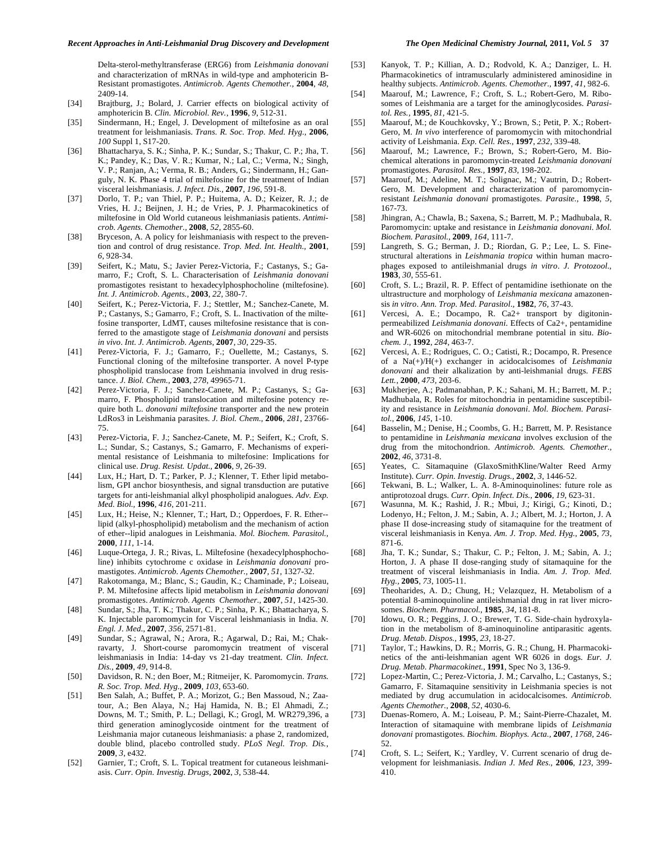Delta-sterol-methyltransferase (ERG6) from *Leishmania donovani* and characterization of mRNAs in wild-type and amphotericin B-Resistant promastigotes. *Antimicrob. Agents Chemother.,* **2004**, *48*, 2409-14.

- [34] Brajtburg, J.; Bolard, J. Carrier effects on biological activity of amphotericin B. *Clin. Microbiol. Rev.,* **1996**, *9*, 512-31.
- [35] Sindermann, H.; Engel, J. Development of miltefosine as an oral treatment for leishmaniasis. *Trans. R. Soc. Trop. Med. Hyg.,* **2006**, *100* Suppl 1, S17-20.
- [36] Bhattacharya, S. K.; Sinha, P. K.; Sundar, S.; Thakur, C. P.; Jha, T. K.; Pandey, K.; Das, V. R.; Kumar, N.; Lal, C.; Verma, N.; Singh, V. P.; Ranjan, A.; Verma, R. B.; Anders, G.; Sindermann, H.; Ganguly, N. K. Phase 4 trial of miltefosine for the treatment of Indian visceral leishmaniasis. *J. Infect. Dis.,* **2007**, *196*, 591-8.
- [37] Dorlo, T. P.; van Thiel, P. P.; Huitema, A. D.; Keizer, R. J.; de Vries, H. J.; Beijnen, J. H.; de Vries, P. J. Pharmacokinetics of miltefosine in Old World cutaneous leishmaniasis patients. *Antimicrob. Agents. Chemother.,* **2008**, *52*, 2855-60.
- [38] Bryceson, A. A policy for leishmaniasis with respect to the prevention and control of drug resistance. *Trop. Med. Int. Health.,* **2001**, *6*, 928-34.
- [39] Seifert, K.; Matu, S.; Javier Perez-Victoria, F.; Castanys, S.; Gamarro, F.; Croft, S. L. Characterisation of *Leishmania donovani* promastigotes resistant to hexadecylphosphocholine (miltefosine). *Int. J. Antimicrob. Agents.,* **2003**, *22*, 380-7.
- [40] Seifert, K.; Perez-Victoria, F. J.; Stettler, M.; Sanchez-Canete, M. P.; Castanys, S.; Gamarro, F.; Croft, S. L. Inactivation of the miltefosine transporter, LdMT, causes miltefosine resistance that is conferred to the amastigote stage of *Leishmania donovani* and persists *in vivo*. *Int. J. Antimicrob. Agents,* **2007**, *30*, 229-35.
- [41] Perez-Victoria, F. J.; Gamarro, F.; Ouellette, M.; Castanys, S. Functional cloning of the miltefosine transporter. A novel P-type phospholipid translocase from Leishmania involved in drug resistance. *J. Biol. Chem.,* **2003**, *278*, 49965-71.
- [42] Perez-Victoria, F. J.; Sanchez-Canete, M. P.; Castanys, S.; Gamarro, F. Phospholipid translocation and miltefosine potency require both L. *donovani miltefosine* transporter and the new protein LdRos3 in Leishmania parasites. *J. Biol. Chem.,* **2006**, *281*, 23766- 75.
- [43] Perez-Victoria, F. J.; Sanchez-Canete, M. P.; Seifert, K.; Croft, S. L.; Sundar, S.; Castanys, S.; Gamarro, F. Mechanisms of experimental resistance of Leishmania to miltefosine: Implications for clinical use. *Drug. Resist. Updat.,* **2006**, *9*, 26-39.
- [44] Lux, H.; Hart, D. T.; Parker, P. J.; Klenner, T. Ether lipid metabolism, GPI anchor biosynthesis, and signal transduction are putative targets for anti-leishmanial alkyl phospholipid analogues. *Adv. Exp. Med. Biol.,* **1996**, *416*, 201-211.
- [45] Lux, H.; Heise, N.; Klenner, T.; Hart, D.; Opperdoes, F. R. Ether- lipid (alkyl-phospholipid) metabolism and the mechanism of action of ether--lipid analogues in Leishmania. *Mol. Biochem. Parasitol.,*  **2000**, *111*, 1-14.
- [46] Luque-Ortega, J. R.; Rivas, L. Miltefosine (hexadecylphosphocholine) inhibits cytochrome c oxidase in *Leishmania donovani* promastigotes. *Antimicrob. Agents Chemother.,* **2007**, *51*, 1327-32.
- [47] Rakotomanga, M.; Blanc, S.; Gaudin, K.; Chaminade, P.; Loiseau, P. M. Miltefosine affects lipid metabolism in *Leishmania donovani* promastigotes. *Antimicrob. Agents Chemother.,* **2007**, *51*, 1425-30.
- [48] Sundar, S.; Jha, T. K.; Thakur, C. P.; Sinha, P. K.; Bhattacharya, S. K. Injectable paromomycin for Visceral leishmaniasis in India. *N. Engl. J. Med.,* **2007**, *356*, 2571-81.
- [49] Sundar, S.; Agrawal, N.; Arora, R.; Agarwal, D.; Rai, M.; Chakravarty, J. Short-course paromomycin treatment of visceral leishmaniasis in India: 14-day vs 21-day treatment. *Clin. Infect. Dis.,* **2009**, *49*, 914-8.
- [50] Davidson, R. N.; den Boer, M.; Ritmeijer, K. Paromomycin. *Trans. R. Soc. Trop. Med. Hyg.,* **2009**, *103*, 653-60.
- [51] Ben Salah, A.; Buffet, P. A.; Morizot, G.; Ben Massoud, N.; Zaatour, A.; Ben Alaya, N.; Haj Hamida, N. B.; El Ahmadi, Z.; Downs, M. T.; Smith, P. L.; Dellagi, K.; Grogl, M. WR279,396, a third generation aminoglycoside ointment for the treatment of Leishmania major cutaneous leishmaniasis: a phase 2, randomized, double blind, placebo controlled study. *PLoS Negl. Trop. Dis.,*  **2009**, *3*, e432.
- [52] Garnier, T.; Croft, S. L. Topical treatment for cutaneous leishmaniasis. *Curr. Opin. Investig. Drugs,* **2002**, *3*, 538-44.
- [53] Kanyok, T. P.; Killian, A. D.; Rodvold, K. A.; Danziger, L. H. Pharmacokinetics of intramuscularly administered aminosidine in healthy subjects. *Antimicrob. Agents. Chemother.,* **1997**, *41*, 982-6.
- [54] Maarouf, M.; Lawrence, F.; Croft, S. L.; Robert-Gero, M. Ribosomes of Leishmania are a target for the aminoglycosides. *Parasitol. Res.,* **1995**, *81*, 421-5.
- [55] Maarouf, M.; de Kouchkovsky, Y.; Brown, S.; Petit, P. X.; Robert-Gero, M. *In vivo* interference of paromomycin with mitochondrial activity of Leishmania. *Exp. Cell. Res.,* **1997**, *232*, 339-48.
- [56] Maarouf, M.; Lawrence, F.; Brown, S.; Robert-Gero, M. Biochemical alterations in paromomycin-treated *Leishmania donovani*  promastigotes. *Parasitol. Res.,* **1997**, *83*, 198-202.
- [57] Maarouf, M.; Adeline, M. T.; Solignac, M.; Vautrin, D.; Robert-Gero, M. Development and characterization of paromomycinresistant *Leishmania donovani* promastigotes. *Parasite.,* **1998**, *5*, 167-73.
- [58] Jhingran, A.; Chawla, B.; Saxena, S.; Barrett, M. P.; Madhubala, R. Paromomycin: uptake and resistance in *Leishmania donovani*. *Mol. Biochem. Parasitol.,* **2009**, *164*, 111-7.
- [59] Langreth, S. G.; Berman, J. D.; Riordan, G. P.; Lee, L. S. Finestructural alterations in *Leishmania tropica* within human macrophages exposed to antileishmanial drugs *in vitro*. *J. Protozool.,*  **1983**, *30*, 555-61.
- [60] Croft, S. L.; Brazil, R. P. Effect of pentamidine isethionate on the ultrastructure and morphology of *Leishmania mexicana* amazonensis *in vitro*. *Ann. Trop. Med. Parasitol.,* **1982**, *76*, 37-43.
- [61] Vercesi, A. E.; Docampo, R. Ca2+ transport by digitoninpermeabilized *Leishmania donovani*. Effects of Ca2+, pentamidine and WR-6026 on mitochondrial membrane potential in situ. *Biochem. J.,* **1992**, *284*, 463-7.
- [62] Vercesi, A. E.; Rodrigues, C. O.; Catisti, R.; Docampo, R. Presence of a Na(+)/H(+) exchanger in acidocalcisomes of *Leishmania donovani* and their alkalization by anti-leishmanial drugs. *FEBS Lett.,* **2000**, *473,* 203-6.
- [63] Mukherjee, A.; Padmanabhan, P. K.; Sahani, M. H.; Barrett, M. P.; Madhubala, R. Roles for mitochondria in pentamidine susceptibility and resistance in *Leishmania donovani*. *Mol. Biochem. Parasitol.,* **2006**, *145*, 1-10.
- [64] Basselin, M.; Denise, H.; Coombs, G. H.; Barrett, M. P. Resistance to pentamidine in *Leishmania mexicana* involves exclusion of the drug from the mitochondrion. *Antimicrob. Agents. Chemother.,*  **2002**, *46*, 3731-8.
- [65] Yeates, C. Sitamaquine (GlaxoSmithKline/Walter Reed Army Institute). *Curr. Opin. Investig. Drugs.,* **2002**, *3*, 1446-52.
- [66] Tekwani, B. L.; Walker, L. A. 8-Aminoquinolines: future role as antiprotozoal drugs. *Curr. Opin. Infect. Dis.,* **2006**, *19*, 623-31.
- [67] Wasunna, M. K.; Rashid, J. R.; Mbui, J.; Kirigi, G.; Kinoti, D.; Lodenyo, H.; Felton, J. M.; Sabin, A. J.; Albert, M. J.; Horton, J. A phase II dose-increasing study of sitamaquine for the treatment of visceral leishmaniasis in Kenya. *Am. J. Trop. Med. Hyg.,* **2005**, *73*, 871-6.
- [68] Jha, T. K.; Sundar, S.; Thakur, C. P.; Felton, J. M.; Sabin, A. J.; Horton, J. A phase II dose-ranging study of sitamaquine for the treatment of visceral leishmaniasis in India. *Am. J. Trop. Med. Hyg.,* **2005**, *73*, 1005-11.
- [69] Theoharides, A. D.; Chung, H.; Velazquez, H. Metabolism of a potential 8-aminoquinoline antileishmanial drug in rat liver microsomes. *Biochem. Pharmacol.,* **1985**, *34*, 181-8.
- [70] Idowu, O. R.; Peggins, J. O.; Brewer, T. G. Side-chain hydroxylation in the metabolism of 8-aminoquinoline antiparasitic agents. *Drug. Metab. Dispos.,* **1995**, *23*, 18-27.
- [71] Taylor, T.; Hawkins, D. R.; Morris, G. R.; Chung, H. Pharmacokinetics of the anti-leishmanian agent WR 6026 in dogs. *Eur. J. Drug. Metab. Pharmacokinet.,* **1991**, Spec No 3, 136-9.
- [72] Lopez-Martin, C.; Perez-Victoria, J. M.; Carvalho, L.; Castanys, S.; Gamarro, F. Sitamaquine sensitivity in Leishmania species is not mediated by drug accumulation in acidocalcisomes. *Antimicrob. Agents Chemother.,* **2008**, *52*, 4030-6.
- [73] Duenas-Romero, A. M.; Loiseau, P. M.; Saint-Pierre-Chazalet, M. Interaction of sitamaquine with membrane lipids of *Leishmania donovani* promastigotes. *Biochim. Biophys. Acta.,* **2007**, *1768,* 246- 52.
- [74] Croft, S. L.; Seifert, K.; Yardley, V. Current scenario of drug development for leishmaniasis. *Indian J. Med Res.,* **2006**, *123*, 399- 410.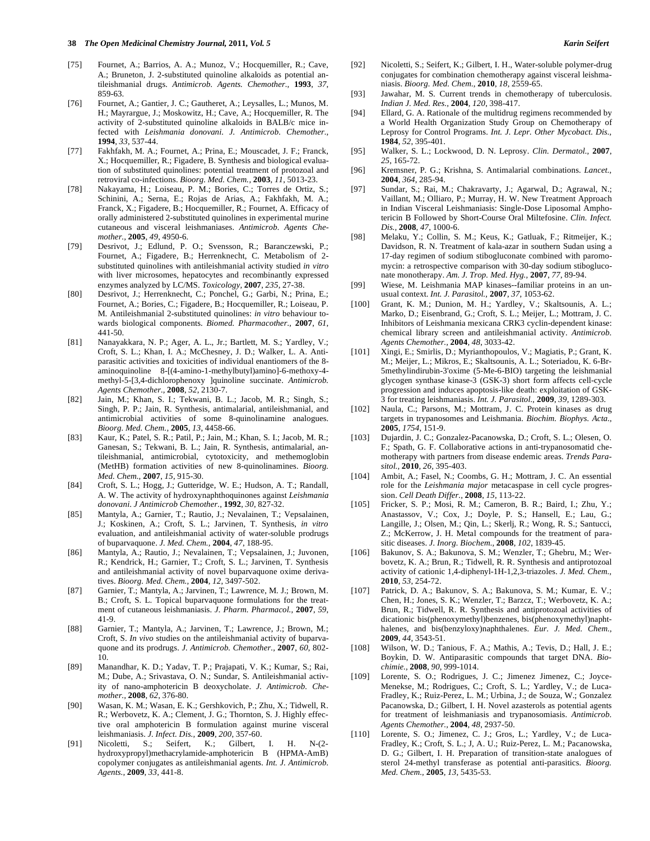- [75] Fournet, A.; Barrios, A. A.; Munoz, V.; Hocquemiller, R.; Cave, A.; Bruneton, J. 2-substituted quinoline alkaloids as potential antileishmanial drugs. *Antimicrob. Agents. Chemother.,* **1993**, *37*, 859-63.
- [76] Fournet, A.; Gantier, J. C.; Gautheret, A.; Leysalles, L.; Munos, M. H.; Mayrargue, J.; Moskowitz, H.; Cave, A.; Hocquemiller, R. The activity of 2-substituted quinoline alkaloids in BALB/c mice infected with *Leishmania donovani*. *J. Antimicrob. Chemother.,*  **1994**, *33*, 537-44.
- [77] Fakhfakh, M. A.; Fournet, A.; Prina, E.; Mouscadet, J. F.; Franck, X.; Hocquemiller, R.; Figadere, B. Synthesis and biological evaluation of substituted quinolines: potential treatment of protozoal and retroviral co-infections. *Bioorg. Med. Chem.,* **2003**, *11*, 5013-23.
- [78] Nakayama, H.; Loiseau, P. M.; Bories, C.; Torres de Ortiz, S.; Schinini, A.; Serna, E.; Rojas de Arias, A.; Fakhfakh, M. A.; Franck, X.; Figadere, B.; Hocquemiller, R.; Fournet, A. Efficacy of orally administered 2-substituted quinolines in experimental murine cutaneous and visceral leishmaniases. *Antimicrob. Agents Chemother.,* **2005**, *49*, 4950-6.
- [79] Desrivot, J.; Edlund, P. O.; Svensson, R.; Baranczewski, P.; Fournet, A.; Figadere, B.; Herrenknecht, C. Metabolism of 2 substituted quinolines with antileishmanial activity studied *in vitro* with liver microsomes, hepatocytes and recombinantly expressed enzymes analyzed by LC/MS. *Toxicology,* **2007**, *235*, 27-38.
- [80] Desrivot, J.; Herrenknecht, C.; Ponchel, G.; Garbi, N.; Prina, E.; Fournet, A.; Bories, C.; Figadere, B.; Hocquemiller, R.; Loiseau, P. M. Antileishmanial 2-substituted quinolines: *in vitro* behaviour towards biological components. *Biomed. Pharmacother.,* **2007**, *61*, 441-50.
- [81] Nanayakkara, N. P.; Ager, A. L., Jr.; Bartlett, M. S.; Yardley, V.; Croft, S. L.; Khan, I. A.; McChesney, J. D.; Walker, L. A. Antiparasitic activities and toxicities of individual enantiomers of the 8 aminoquinoline 8-[(4-amino-1-methylbutyl)amino]-6-methoxy-4 methyl-5-[3,4-dichlorophenoxy ]quinoline succinate. *Antimicrob. Agents Chemother.,* **2008**, *52*, 2130-7.
- [82] Jain, M.; Khan, S. I.; Tekwani, B. L.; Jacob, M. R.; Singh, S.; Singh, P. P.; Jain, R. Synthesis, antimalarial, antileishmanial, and antimicrobial activities of some 8-quinolinamine analogues. *Bioorg. Med. Chem.,* **2005**, *13*, 4458-66.
- [83] Kaur, K.; Patel, S. R.; Patil, P.; Jain, M.; Khan, S. I.; Jacob, M. R.; Ganesan, S.; Tekwani, B. L.; Jain, R. Synthesis, antimalarial, antileishmanial, antimicrobial, cytotoxicity, and methemoglobin (MetHB) formation activities of new 8-quinolinamines. *Bioorg. Med. Chem.,* **2007**, *15*, 915-30.
- [84] Croft, S. L.; Hogg, J.; Gutteridge, W. E.; Hudson, A. T.; Randall, A. W. The activity of hydroxynaphthoquinones against *Leishmania donovani*. *J Antimicrob Chemother.,* **1992**, *30*, 827-32.
- [85] Mantyla, A.; Garnier, T.; Rautio, J.; Nevalainen, T.; Vepsalainen, J.; Koskinen, A.; Croft, S. L.; Jarvinen, T. Synthesis, *in vitro* evaluation, and antileishmanial activity of water-soluble prodrugs of buparvaquone. *J. Med. Chem.,* **2004**, *47*, 188-95.
- [86] Mantyla, A.; Rautio, J.; Nevalainen, T.; Vepsalainen, J.; Juvonen, R.; Kendrick, H.; Garnier, T.; Croft, S. L.; Jarvinen, T. Synthesis and antileishmanial activity of novel buparvaquone oxime derivatives. *Bioorg. Med. Chem.,* **2004**, *12*, 3497-502.
- [87] Garnier, T.; Mantyla, A.; Jarvinen, T.; Lawrence, M. J.; Brown, M. B.; Croft, S. L. Topical buparvaquone formulations for the treatment of cutaneous leishmaniasis. *J. Pharm. Pharmacol.,* **2007**, *59*, 41-9.
- [88] Garnier, T.; Mantyla, A.; Jarvinen, T.; Lawrence, J.; Brown, M.; Croft, S. *In vivo* studies on the antileishmanial activity of buparvaquone and its prodrugs. *J. Antimicrob. Chemother.,* **2007**, *60*, 802- 10.
- [89] Manandhar, K. D.; Yadav, T. P.; Prajapati, V. K.; Kumar, S.; Rai, M.; Dube, A.; Srivastava, O. N.; Sundar, S. Antileishmanial activity of nano-amphotericin B deoxycholate. *J. Antimicrob. Chemother.,* **2008**, *62*, 376-80.
- [90] Wasan, K. M.; Wasan, E. K.; Gershkovich, P.; Zhu, X.; Tidwell, R. R.; Werbovetz, K. A.; Clement, J. G.; Thornton, S. J. Highly effective oral amphotericin B formulation against murine visceral leishmaniasis. *J. Infect. Dis.,* **2009**, *200*, 357-60.
- [91] Nicoletti, S.; Seifert, K.; Gilbert, I. H. N-(2 hydroxypropyl)methacrylamide-amphotericin B (HPMA-AmB) copolymer conjugates as antileishmanial agents. *Int. J. Antimicrob. Agents.,* **2009**, *33*, 441-8.
- [92] Nicoletti, S.; Seifert, K.; Gilbert, I. H., Water-soluble polymer-drug conjugates for combination chemotherapy against visceral leishmaniasis. *Bioorg. Med. Chem.,* **2010**, *18,* 2559-65.
- [93] Jawahar, M. S. Current trends in chemotherapy of tuberculosis. *Indian J. Med. Res.,* **2004**, *120*, 398-417.
- [94] Ellard, G. A. Rationale of the multidrug regimens recommended by a World Health Organization Study Group on Chemotherapy of Leprosy for Control Programs. *Int. J. Lepr. Other Mycobact. Dis.,*  **1984**, *52*, 395-401.
- [95] Walker, S. L.; Lockwood, D. N. Leprosy. *Clin. Dermatol.,* **2007**, *25*, 165-72.
- [96] Kremsner, P. G.; Krishna, S. Antimalarial combinations. *Lancet.,*  **2004**, *364*, 285-94.
- [97] Sundar, S.; Rai, M.; Chakravarty, J.; Agarwal, D.; Agrawal, N.; Vaillant, M.; Olliaro, P.; Murray, H. W. New Treatment Approach in Indian Visceral Leishmaniasis: Single-Dose Liposomal Amphotericin B Followed by Short-Course Oral Miltefosine. *Clin. Infect. Dis.,* **2008**, *47*, 1000-6.
- [98] Melaku, Y.; Collin, S. M.; Keus, K.; Gatluak, F.; Ritmeijer, K.; Davidson, R. N. Treatment of kala-azar in southern Sudan using a 17-day regimen of sodium stibogluconate combined with paromomycin: a retrospective comparison with 30-day sodium stibogluconate monotherapy. *Am. J. Trop. Med. Hyg.,* **2007**, *77*, 89-94.
- [99] Wiese, M. Leishmania MAP kinases--familiar proteins in an unusual context. *Int. J. Parasitol.,* **2007**, *37*, 1053-62.
- [100] Grant, K. M.; Dunion, M. H.; Yardley, V.; Skaltsounis, A. L.; Marko, D.; Eisenbrand, G.; Croft, S. L.; Meijer, L.; Mottram, J. C. Inhibitors of Leishmania mexicana CRK3 cyclin-dependent kinase: chemical library screen and antileishmanial activity. *Antimicrob. Agents Chemother.,* **2004**, *48*, 3033-42.
- [101] Xingi, E.; Smirlis, D.; Myrianthopoulos, V.; Magiatis, P.; Grant, K. M.; Meijer, L.; Mikros, E.; Skaltsounis, A. L.; Soteriadou, K. 6-Br-5methylindirubin-3'oxime (5-Me-6-BIO) targeting the leishmanial glycogen synthase kinase-3 (GSK-3) short form affects cell-cycle progression and induces apoptosis-like death: exploitation of GSK-3 for treating leishmaniasis. *Int. J. Parasitol.,* **2009**, *39,* 1289-303.
- [102] Naula, C.; Parsons, M.; Mottram, J. C. Protein kinases as drug targets in trypanosomes and Leishmania. *Biochim. Biophys. Acta.,*  **2005**, *1754*, 151-9.
- [103] Dujardin, J. C.; Gonzalez-Pacanowska, D.; Croft, S. L.; Olesen, O. F.; Spath, G. F. Collaborative actions in anti-trypanosomatid chemotherapy with partners from disease endemic areas. *Trends Parasitol.,* **2010**, *26,* 395-403.
- [104] Ambit, A.; Fasel, N.; Coombs, G. H.; Mottram, J. C. An essential role for the *Leishmania major* metacaspase in cell cycle progression. *Cell Death Differ.,* **2008**, *15*, 113-22.
- [105] Fricker, S. P.; Mosi, R. M.; Cameron, B. R.; Baird, I.; Zhu, Y.; Anastassov, V.; Cox, J.; Doyle, P. S.; Hansell, E.; Lau, G.; Langille, J.; Olsen, M.; Qin, L.; Skerlj, R.; Wong, R. S.; Santucci, Z.; McKerrow, J. H. Metal compounds for the treatment of parasitic diseases. *J. Inorg. Biochem.,* **2008**, *102*, 1839-45.
- [106] Bakunov, S. A.; Bakunova, S. M.; Wenzler, T.; Ghebru, M.; Werbovetz, K. A.; Brun, R.; Tidwell, R. R. Synthesis and antiprotozoal activity of cationic 1,4-diphenyl-1H-1,2,3-triazoles. *J. Med. Chem.,*  **2010**, *53*, 254-72.
- [107] Patrick, D. A.; Bakunov, S. A.; Bakunova, S. M.; Kumar, E. V.; Chen, H.; Jones, S. K.; Wenzler, T.; Barzcz, T.; Werbovetz, K. A.; Brun, R.; Tidwell, R. R. Synthesis and antiprotozoal activities of dicationic bis(phenoxymethyl)benzenes, bis(phenoxymethyl)naphthalenes, and bis(benzyloxy)naphthalenes. *Eur. J. Med. Chem.,*  **2009**, *44*, 3543-51.
- [108] Wilson, W. D.; Tanious, F. A.; Mathis, A.; Tevis, D.; Hall, J. E.; Boykin, D. W. Antiparasitic compounds that target DNA. *Biochimie.,* **2008**, *90*, 999-1014.
- [109] Lorente, S. O.; Rodrigues, J. C.; Jimenez Jimenez, C.; Joyce-Menekse, M.; Rodrigues, C.; Croft, S. L.; Yardley, V.; de Luca-Fradley, K.; Ruiz-Perez, L. M.; Urbina, J.; de Souza, W.; Gonzalez Pacanowska, D.; Gilbert, I. H. Novel azasterols as potential agents for treatment of leishmaniasis and trypanosomiasis. *Antimicrob. Agents Chemother.,* **2004**, *48*, 2937-50.
- [110] Lorente, S. O.; Jimenez, C. J.; Gros, L.; Yardley, V.; de Luca-Fradley, K.; Croft, S. L.; J, A. U.; Ruiz-Perez, L. M.; Pacanowska, D. G.; Gilbert, I. H. Preparation of transition-state analogues of sterol 24-methyl transferase as potential anti-parasitics. *Bioorg. Med. Chem.,* **2005**, *13*, 5435-53.